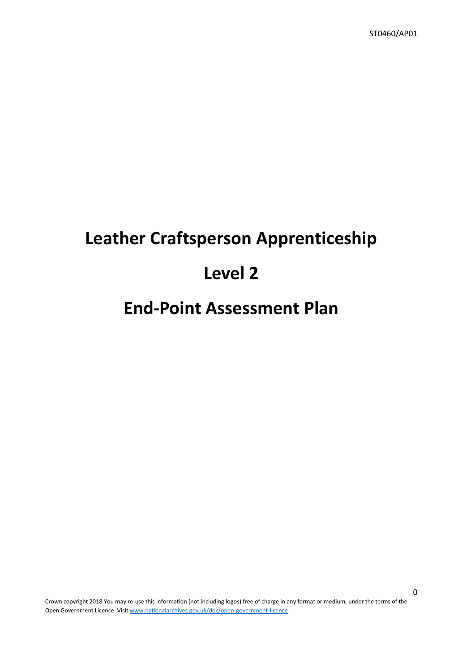# **Leather Craftsperson Apprenticeship**

# **Level 2**

# **End-Point Assessment Plan**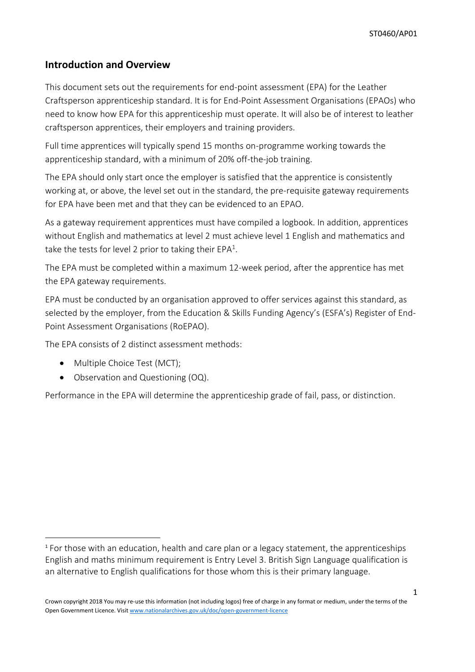## **Introduction and Overview**

This document sets out the requirements for end-point assessment (EPA) for the Leather Craftsperson apprenticeship standard. It is for End-Point Assessment Organisations (EPAOs) who need to know how EPA for this apprenticeship must operate. It will also be of interest to leather craftsperson apprentices, their employers and training providers.

Full time apprentices will typically spend 15 months on-programme working towards the apprenticeship standard, with a minimum of 20% off-the-job training.

The EPA should only start once the employer is satisfied that the apprentice is consistently working at, or above, the level set out in the standard, the pre-requisite gateway requirements for EPA have been met and that they can be evidenced to an EPAO.

As a gateway requirement apprentices must have compiled a logbook. In addition, apprentices without English and mathematics at level 2 must achieve level 1 English and mathematics and take the tests for level 2 prior to taking their  $EPA<sup>1</sup>$ .

The EPA must be completed within a maximum 12-week period, after the apprentice has met the EPA gateway requirements.

EPA must be conducted by an organisation approved to offer services against this standard, as selected by the employer, from the Education & Skills Funding Agency's (ESFA's) Register of End-Point Assessment Organisations (RoEPAO).

The EPA consists of 2 distinct assessment methods:

• Multiple Choice Test (MCT):

**.** 

Observation and Questioning (OQ).

Performance in the EPA will determine the apprenticeship grade of fail, pass, or distinction.

<sup>1</sup> For those with an education, health and care plan or a legacy statement, the apprenticeships English and maths minimum requirement is Entry Level 3. British Sign Language qualification is an alternative to English qualifications for those whom this is their primary language.

Crown copyright 2018 You may re-use this information (not including logos) free of charge in any format or medium, under the terms of the Open Government Licence. Visit [www.nationalarchives.gov.uk/doc/open-government-licence](http://www.nationalarchives.gov.uk/doc/open-government-licence)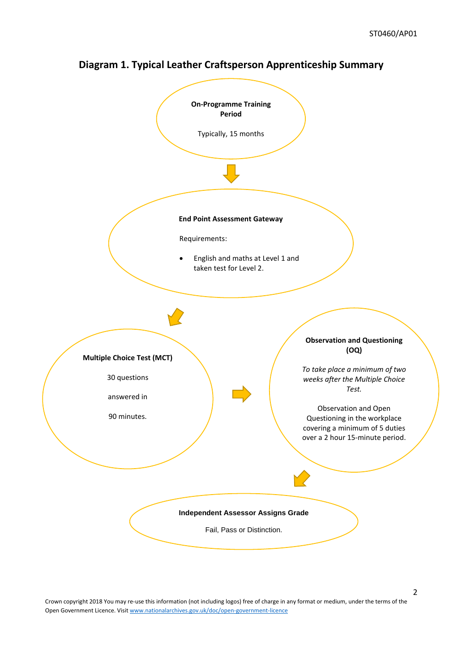

## **Diagram 1. Typical Leather Craftsperson Apprenticeship Summary**

Crown copyright 2018 You may re-use this information (not including logos) free of charge in any format or medium, under the terms of the Open Government Licence. Visit [www.nationalarchives.gov.uk/doc/open-government-licence](http://www.nationalarchives.gov.uk/doc/open-government-licence)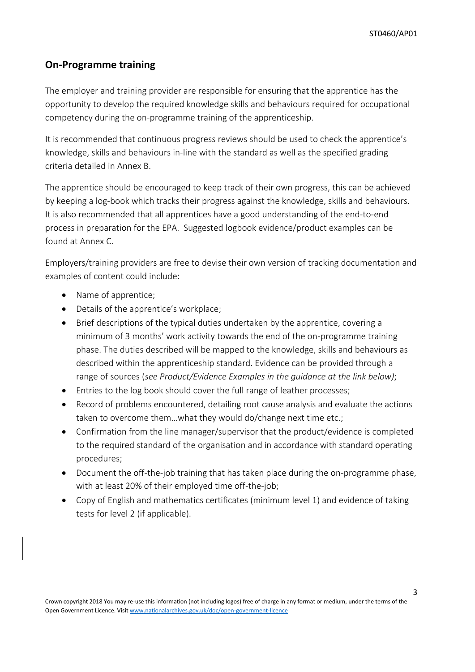### **On-Programme training**

The employer and training provider are responsible for ensuring that the apprentice has the opportunity to develop the required knowledge skills and behaviours required for occupational competency during the on-programme training of the apprenticeship.

It is recommended that continuous progress reviews should be used to check the apprentice's knowledge, skills and behaviours in-line with the standard as well as the specified grading criteria detailed in Annex B.

The apprentice should be encouraged to keep track of their own progress, this can be achieved by keeping a log-book which tracks their progress against the knowledge, skills and behaviours. It is also recommended that all apprentices have a good understanding of the end-to-end process in preparation for the EPA. Suggested logbook evidence/product examples can be found at Annex C.

Employers/training providers are free to devise their own version of tracking documentation and examples of content could include:

- Name of apprentice;
- Details of the apprentice's workplace;
- Brief descriptions of the typical duties undertaken by the apprentice, covering a minimum of 3 months' work activity towards the end of the on-programme training phase. The duties described will be mapped to the knowledge, skills and behaviours as described within the apprenticeship standard. Evidence can be provided through a range of sources (*see Product/Evidence Examples in the guidance at the link below)*;
- Entries to the log book should cover the full range of leather processes;
- Record of problems encountered, detailing root cause analysis and evaluate the actions taken to overcome them…what they would do/change next time etc.;
- Confirmation from the line manager/supervisor that the product/evidence is completed to the required standard of the organisation and in accordance with standard operating procedures;
- Document the off-the-job training that has taken place during the on-programme phase, with at least 20% of their employed time off-the-job;
- Copy of English and mathematics certificates (minimum level 1) and evidence of taking tests for level 2 (if applicable).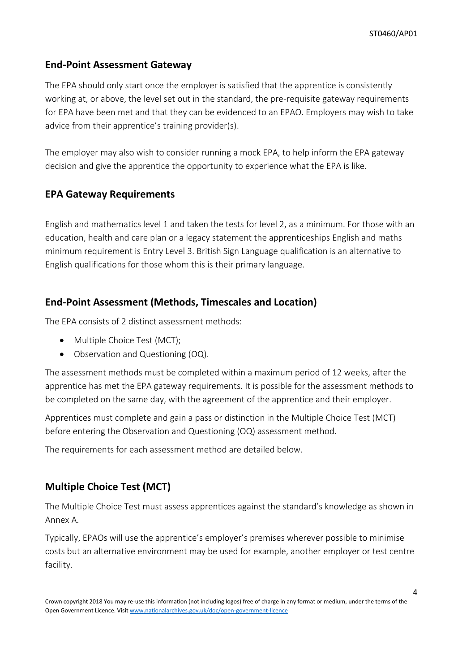## **End-Point Assessment Gateway**

The EPA should only start once the employer is satisfied that the apprentice is consistently working at, or above, the level set out in the standard, the pre-requisite gateway requirements for EPA have been met and that they can be evidenced to an EPAO. Employers may wish to take advice from their apprentice's training provider(s).

The employer may also wish to consider running a mock EPA, to help inform the EPA gateway decision and give the apprentice the opportunity to experience what the EPA is like.

## **EPA Gateway Requirements**

English and mathematics level 1 and taken the tests for level 2, as a minimum. For those with an education, health and care plan or a legacy statement the apprenticeships English and maths minimum requirement is Entry Level 3. British Sign Language qualification is an alternative to English qualifications for those whom this is their primary language.

## **End-Point Assessment (Methods, Timescales and Location)**

The EPA consists of 2 distinct assessment methods:

- Multiple Choice Test (MCT);
- Observation and Questioning (OQ).

The assessment methods must be completed within a maximum period of 12 weeks, after the apprentice has met the EPA gateway requirements. It is possible for the assessment methods to be completed on the same day, with the agreement of the apprentice and their employer.

Apprentices must complete and gain a pass or distinction in the Multiple Choice Test (MCT) before entering the Observation and Questioning (OQ) assessment method.

The requirements for each assessment method are detailed below.

## **Multiple Choice Test (MCT)**

The Multiple Choice Test must assess apprentices against the standard's knowledge as shown in Annex A.

Typically, EPAOs will use the apprentice's employer's premises wherever possible to minimise costs but an alternative environment may be used for example, another employer or test centre facility.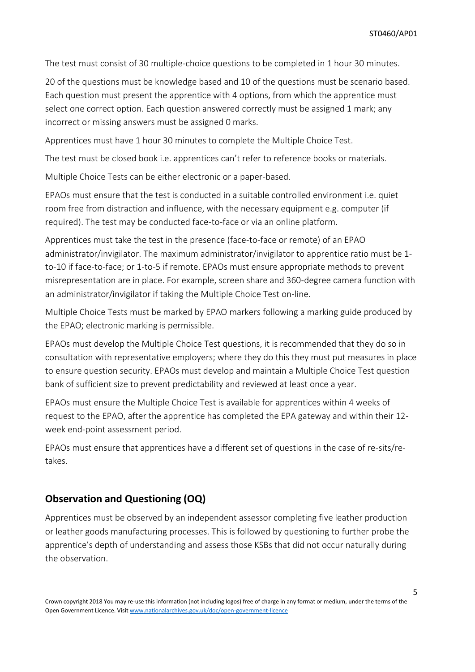The test must consist of 30 multiple-choice questions to be completed in 1 hour 30 minutes.

20 of the questions must be knowledge based and 10 of the questions must be scenario based. Each question must present the apprentice with 4 options, from which the apprentice must select one correct option. Each question answered correctly must be assigned 1 mark; any incorrect or missing answers must be assigned 0 marks.

Apprentices must have 1 hour 30 minutes to complete the Multiple Choice Test.

The test must be closed book i.e. apprentices can't refer to reference books or materials.

Multiple Choice Tests can be either electronic or a paper-based.

EPAOs must ensure that the test is conducted in a suitable controlled environment i.e. quiet room free from distraction and influence, with the necessary equipment e.g. computer (if required). The test may be conducted face-to-face or via an online platform.

Apprentices must take the test in the presence (face-to-face or remote) of an EPAO administrator/invigilator. The maximum administrator/invigilator to apprentice ratio must be 1to-10 if face-to-face; or 1-to-5 if remote. EPAOs must ensure appropriate methods to prevent misrepresentation are in place. For example, screen share and 360-degree camera function with an administrator/invigilator if taking the Multiple Choice Test on-line.

Multiple Choice Tests must be marked by EPAO markers following a marking guide produced by the EPAO; electronic marking is permissible.

EPAOs must develop the Multiple Choice Test questions, it is recommended that they do so in consultation with representative employers; where they do this they must put measures in place to ensure question security. EPAOs must develop and maintain a Multiple Choice Test question bank of sufficient size to prevent predictability and reviewed at least once a year.

EPAOs must ensure the Multiple Choice Test is available for apprentices within 4 weeks of request to the EPAO, after the apprentice has completed the EPA gateway and within their 12 week end-point assessment period.

EPAOs must ensure that apprentices have a different set of questions in the case of re-sits/retakes.

#### **Observation and Questioning (OQ)**

Apprentices must be observed by an independent assessor completing five leather production or leather goods manufacturing processes. This is followed by questioning to further probe the apprentice's depth of understanding and assess those KSBs that did not occur naturally during the observation.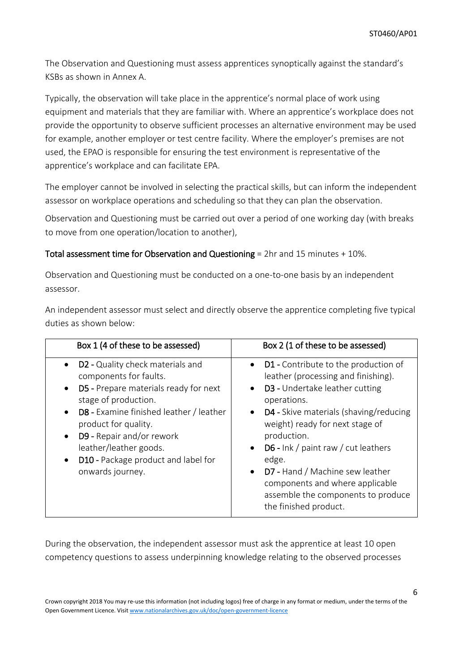The Observation and Questioning must assess apprentices synoptically against the standard's KSBs as shown in Annex A.

Typically, the observation will take place in the apprentice's normal place of work using equipment and materials that they are familiar with. Where an apprentice's workplace does not provide the opportunity to observe sufficient processes an alternative environment may be used for example, another employer or test centre facility. Where the employer's premises are not used, the EPAO is responsible for ensuring the test environment is representative of the apprentice's workplace and can facilitate EPA.

The employer cannot be involved in selecting the practical skills, but can inform the independent assessor on workplace operations and scheduling so that they can plan the observation.

Observation and Questioning must be carried out over a period of one working day (with breaks to move from one operation/location to another),

Total assessment time for Observation and Questioning = 2hr and 15 minutes + 10%.

Observation and Questioning must be conducted on a one-to-one basis by an independent assessor.

An independent assessor must select and directly observe the apprentice completing five typical duties as shown below:

| Box 1 (4 of these to be assessed)                                                                                                                                                                                                                                                                                                                                                        | Box 2 (1 of these to be assessed)                                                                                                                                                                                                                                                                                                                                                                                                                                   |
|------------------------------------------------------------------------------------------------------------------------------------------------------------------------------------------------------------------------------------------------------------------------------------------------------------------------------------------------------------------------------------------|---------------------------------------------------------------------------------------------------------------------------------------------------------------------------------------------------------------------------------------------------------------------------------------------------------------------------------------------------------------------------------------------------------------------------------------------------------------------|
| D2 - Quality check materials and<br>$\bullet$<br>components for faults.<br>D5 - Prepare materials ready for next<br>$\bullet$<br>stage of production.<br><b>D8</b> - Examine finished leather / leather<br>$\bullet$<br>product for quality.<br>D9 - Repair and/or rework<br>$\bullet$<br>leather/leather goods.<br>D10 - Package product and label for<br>$\bullet$<br>onwards journey. | • D1 - Contribute to the production of<br>leather (processing and finishing).<br>D3 - Undertake leather cutting<br>$\bullet$<br>operations.<br>D4 - Skive materials (shaving/reducing<br>$\bullet$<br>weight) ready for next stage of<br>production.<br>D6 - Ink / paint raw / cut leathers<br>$\bullet$<br>edge.<br>D7 - Hand / Machine sew leather<br>$\bullet$<br>components and where applicable<br>assemble the components to produce<br>the finished product. |

During the observation, the independent assessor must ask the apprentice at least 10 open competency questions to assess underpinning knowledge relating to the observed processes

Crown copyright 2018 You may re-use this information (not including logos) free of charge in any format or medium, under the terms of the Open Government Licence. Visit [www.nationalarchives.gov.uk/doc/open-government-licence](http://www.nationalarchives.gov.uk/doc/open-government-licence)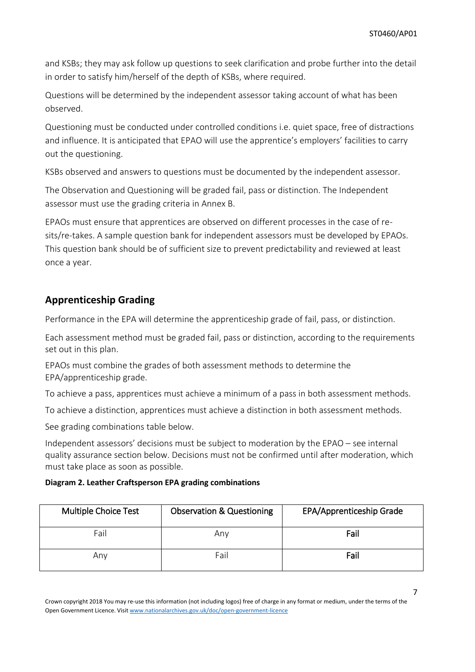and KSBs; they may ask follow up questions to seek clarification and probe further into the detail in order to satisfy him/herself of the depth of KSBs, where required.

Questions will be determined by the independent assessor taking account of what has been observed.

Questioning must be conducted under controlled conditions i.e. quiet space, free of distractions and influence. It is anticipated that EPAO will use the apprentice's employers' facilities to carry out the questioning.

KSBs observed and answers to questions must be documented by the independent assessor.

The Observation and Questioning will be graded fail, pass or distinction. The Independent assessor must use the grading criteria in Annex B.

EPAOs must ensure that apprentices are observed on different processes in the case of resits/re-takes. A sample question bank for independent assessors must be developed by EPAOs. This question bank should be of sufficient size to prevent predictability and reviewed at least once a year.

## **Apprenticeship Grading**

Performance in the EPA will determine the apprenticeship grade of fail, pass, or distinction.

Each assessment method must be graded fail, pass or distinction, according to the requirements set out in this plan.

EPAOs must combine the grades of both assessment methods to determine the EPA/apprenticeship grade.

To achieve a pass, apprentices must achieve a minimum of a pass in both assessment methods.

To achieve a distinction, apprentices must achieve a distinction in both assessment methods.

See grading combinations table below.

Independent assessors' decisions must be subject to moderation by the EPAO – see internal quality assurance section below. Decisions must not be confirmed until after moderation, which must take place as soon as possible.

#### **Diagram 2. Leather Craftsperson EPA grading combinations**

| Multiple Choice Test | <b>Observation &amp; Questioning</b> | EPA/Apprenticeship Grade |
|----------------------|--------------------------------------|--------------------------|
| Fail                 | Anv                                  | Fail                     |
| Anv                  | Fail                                 | Fail                     |

Crown copyright 2018 You may re-use this information (not including logos) free of charge in any format or medium, under the terms of the Open Government Licence. Visit [www.nationalarchives.gov.uk/doc/open-government-licence](http://www.nationalarchives.gov.uk/doc/open-government-licence)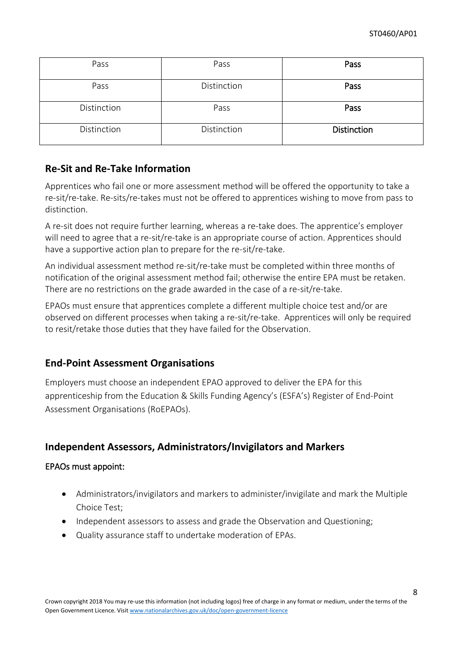| Pass        | Pass        | Pass               |
|-------------|-------------|--------------------|
| Pass        | Distinction | Pass               |
| Distinction | Pass        | Pass               |
| Distinction | Distinction | <b>Distinction</b> |

## **Re-Sit and Re-Take Information**

Apprentices who fail one or more assessment method will be offered the opportunity to take a re-sit/re-take. Re-sits/re-takes must not be offered to apprentices wishing to move from pass to distinction.

A re-sit does not require further learning, whereas a re-take does. The apprentice's employer will need to agree that a re-sit/re-take is an appropriate course of action. Apprentices should have a supportive action plan to prepare for the re-sit/re-take.

An individual assessment method re-sit/re-take must be completed within three months of notification of the original assessment method fail; otherwise the entire EPA must be retaken. There are no restrictions on the grade awarded in the case of a re-sit/re-take.

EPAOs must ensure that apprentices complete a different multiple choice test and/or are observed on different processes when taking a re-sit/re-take. Apprentices will only be required to resit/retake those duties that they have failed for the Observation.

## **End-Point Assessment Organisations**

Employers must choose an independent EPAO approved to deliver the EPA for this apprenticeship from the Education & Skills Funding Agency's (ESFA's) Register of End-Point Assessment Organisations (RoEPAOs).

## **Independent Assessors, Administrators/Invigilators and Markers**

#### EPAOs must appoint:

- Administrators/invigilators and markers to administer/invigilate and mark the Multiple Choice Test;
- Independent assessors to assess and grade the Observation and Questioning:
- Quality assurance staff to undertake moderation of EPAs.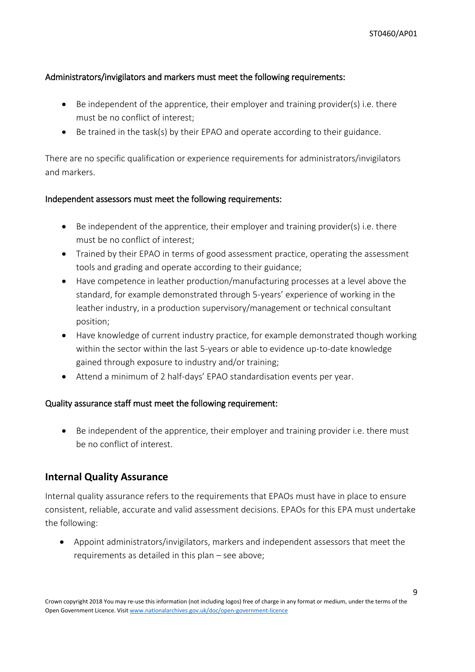#### Administrators/invigilators and markers must meet the following requirements:

- $\bullet$  Be independent of the apprentice, their employer and training provider(s) i.e. there must be no conflict of interest;
- Be trained in the task(s) by their EPAO and operate according to their guidance.

There are no specific qualification or experience requirements for administrators/invigilators and markers.

#### Independent assessors must meet the following requirements:

- Be independent of the apprentice, their employer and training provider(s) i.e. there must be no conflict of interest;
- Trained by their EPAO in terms of good assessment practice, operating the assessment tools and grading and operate according to their guidance;
- Have competence in leather production/manufacturing processes at a level above the standard, for example demonstrated through 5-years' experience of working in the leather industry, in a production supervisory/management or technical consultant position;
- Have knowledge of current industry practice, for example demonstrated though working within the sector within the last 5-years or able to evidence up-to-date knowledge gained through exposure to industry and/or training;
- Attend a minimum of 2 half-days' EPAO standardisation events per year.

#### Quality assurance staff must meet the following requirement:

 Be independent of the apprentice, their employer and training provider i.e. there must be no conflict of interest.

#### **Internal Quality Assurance**

Internal quality assurance refers to the requirements that EPAOs must have in place to ensure consistent, reliable, accurate and valid assessment decisions. EPAOs for this EPA must undertake the following:

 Appoint administrators/invigilators, markers and independent assessors that meet the requirements as detailed in this plan – see above;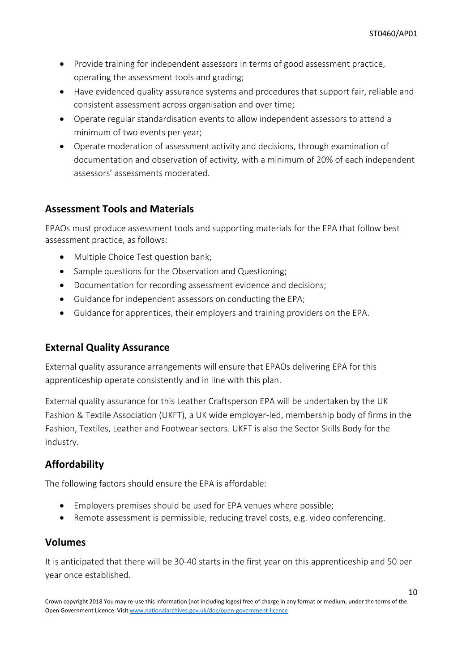- Provide training for independent assessors in terms of good assessment practice, operating the assessment tools and grading;
- Have evidenced quality assurance systems and procedures that support fair, reliable and consistent assessment across organisation and over time;
- Operate regular standardisation events to allow independent assessors to attend a minimum of two events per year;
- Operate moderation of assessment activity and decisions, through examination of documentation and observation of activity, with a minimum of 20% of each independent assessors' assessments moderated.

## **Assessment Tools and Materials**

EPAOs must produce assessment tools and supporting materials for the EPA that follow best assessment practice, as follows:

- Multiple Choice Test question bank;
- Sample questions for the Observation and Questioning;
- Documentation for recording assessment evidence and decisions;
- Guidance for independent assessors on conducting the EPA;
- Guidance for apprentices, their employers and training providers on the EPA.

## **External Quality Assurance**

External quality assurance arrangements will ensure that EPAOs delivering EPA for this apprenticeship operate consistently and in line with this plan.

External quality assurance for this Leather Craftsperson EPA will be undertaken by the UK Fashion & Textile Association (UKFT), a UK wide employer-led, membership body of firms in the Fashion, Textiles, Leather and Footwear sectors. UKFT is also the Sector Skills Body for the industry.

## **Affordability**

The following factors should ensure the EPA is affordable:

- Employers premises should be used for EPA venues where possible;
- Remote assessment is permissible, reducing travel costs, e.g. video conferencing.

## **Volumes**

It is anticipated that there will be 30-40 starts in the first year on this apprenticeship and 50 per year once established.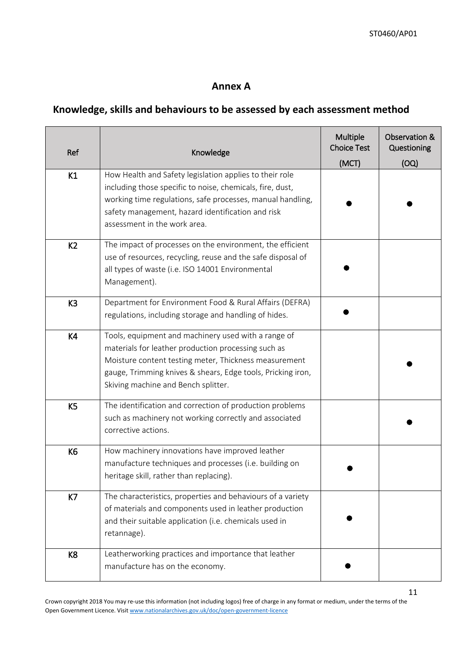## **Annex A**

## **Knowledge, skills and behaviours to be assessed by each assessment method**

| Ref            | Knowledge                                                                                                                                                                                                                                                                 | Multiple<br><b>Choice Test</b><br>(MCT) | Observation &<br>Questioning<br>(OQ) |
|----------------|---------------------------------------------------------------------------------------------------------------------------------------------------------------------------------------------------------------------------------------------------------------------------|-----------------------------------------|--------------------------------------|
| K1             | How Health and Safety legislation applies to their role<br>including those specific to noise, chemicals, fire, dust,<br>working time regulations, safe processes, manual handling,<br>safety management, hazard identification and risk<br>assessment in the work area.   |                                         |                                      |
| K <sub>2</sub> | The impact of processes on the environment, the efficient<br>use of resources, recycling, reuse and the safe disposal of<br>all types of waste (i.e. ISO 14001 Environmental<br>Management).                                                                              |                                         |                                      |
| K <sub>3</sub> | Department for Environment Food & Rural Affairs (DEFRA)<br>regulations, including storage and handling of hides.                                                                                                                                                          |                                         |                                      |
| K4             | Tools, equipment and machinery used with a range of<br>materials for leather production processing such as<br>Moisture content testing meter, Thickness measurement<br>gauge, Trimming knives & shears, Edge tools, Pricking iron,<br>Skiving machine and Bench splitter. |                                         |                                      |
| K <sub>5</sub> | The identification and correction of production problems<br>such as machinery not working correctly and associated<br>corrective actions.                                                                                                                                 |                                         |                                      |
| K6             | How machinery innovations have improved leather<br>manufacture techniques and processes (i.e. building on<br>heritage skill, rather than replacing).                                                                                                                      |                                         |                                      |
| K7             | The characteristics, properties and behaviours of a variety<br>of materials and components used in leather production<br>and their suitable application (i.e. chemicals used in<br>retannage).                                                                            |                                         |                                      |
| K <sub>8</sub> | Leatherworking practices and importance that leather<br>manufacture has on the economy.                                                                                                                                                                                   |                                         |                                      |

Crown copyright 2018 You may re-use this information (not including logos) free of charge in any format or medium, under the terms of the Open Government Licence. Visit [www.nationalarchives.gov.uk/doc/open-government-licence](http://www.nationalarchives.gov.uk/doc/open-government-licence)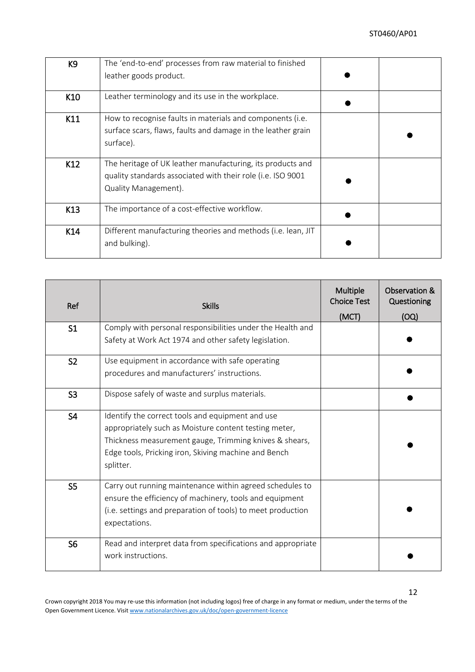| K9  | The 'end-to-end' processes from raw material to finished     |  |
|-----|--------------------------------------------------------------|--|
|     | leather goods product.                                       |  |
| K10 | Leather terminology and its use in the workplace.            |  |
| K11 | How to recognise faults in materials and components (i.e.    |  |
|     | surface scars, flaws, faults and damage in the leather grain |  |
|     | surface).                                                    |  |
|     |                                                              |  |
| K12 | The heritage of UK leather manufacturing, its products and   |  |
|     | quality standards associated with their role (i.e. ISO 9001  |  |
|     | Quality Management).                                         |  |
| K13 | The importance of a cost-effective workflow.                 |  |
| K14 | Different manufacturing theories and methods (i.e. lean, JIT |  |
|     | and bulking).                                                |  |

| Ref            | <b>Skills</b>                                                                                                                                                                                                                            | Multiple<br><b>Choice Test</b><br>(MCT) | Observation &<br>Questioning<br>(OQ) |
|----------------|------------------------------------------------------------------------------------------------------------------------------------------------------------------------------------------------------------------------------------------|-----------------------------------------|--------------------------------------|
| S <sub>1</sub> | Comply with personal responsibilities under the Health and<br>Safety at Work Act 1974 and other safety legislation.                                                                                                                      |                                         |                                      |
| S <sub>2</sub> | Use equipment in accordance with safe operating<br>procedures and manufacturers' instructions.                                                                                                                                           |                                         |                                      |
| S <sub>3</sub> | Dispose safely of waste and surplus materials.                                                                                                                                                                                           |                                         |                                      |
| S <sub>4</sub> | Identify the correct tools and equipment and use<br>appropriately such as Moisture content testing meter,<br>Thickness measurement gauge, Trimming knives & shears,<br>Edge tools, Pricking iron, Skiving machine and Bench<br>splitter. |                                         |                                      |
| S <sub>5</sub> | Carry out running maintenance within agreed schedules to<br>ensure the efficiency of machinery, tools and equipment<br>(i.e. settings and preparation of tools) to meet production<br>expectations.                                      |                                         |                                      |
| S <sub>6</sub> | Read and interpret data from specifications and appropriate<br>work instructions.                                                                                                                                                        |                                         |                                      |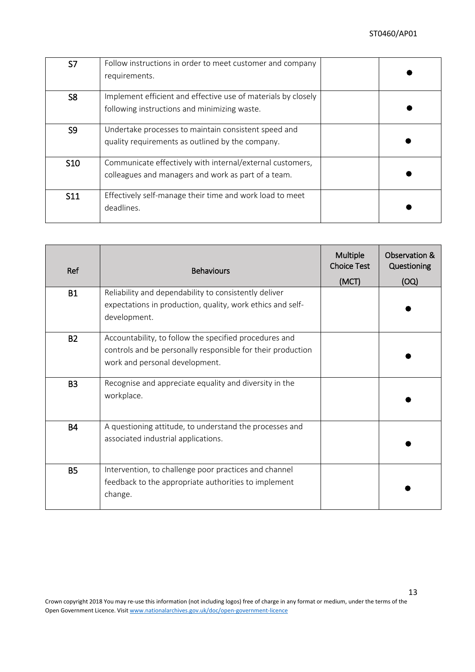| S7             | Follow instructions in order to meet customer and company<br>requirements. |  |
|----------------|----------------------------------------------------------------------------|--|
|                |                                                                            |  |
| S <sub>8</sub> | Implement efficient and effective use of materials by closely              |  |
|                | following instructions and minimizing waste.                               |  |
| S <sub>9</sub> | Undertake processes to maintain consistent speed and                       |  |
|                | quality requirements as outlined by the company.                           |  |
| <b>S10</b>     | Communicate effectively with internal/external customers,                  |  |
|                | colleagues and managers and work as part of a team.                        |  |
| <b>S11</b>     | Effectively self-manage their time and work load to meet                   |  |
|                | deadlines.                                                                 |  |

| Ref       | <b>Behaviours</b>                                                                                                                                       | Multiple<br><b>Choice Test</b><br>(MCT) | Observation &<br>Questioning<br>(OQ) |
|-----------|---------------------------------------------------------------------------------------------------------------------------------------------------------|-----------------------------------------|--------------------------------------|
| <b>B1</b> | Reliability and dependability to consistently deliver<br>expectations in production, quality, work ethics and self-<br>development.                     |                                         |                                      |
| <b>B2</b> | Accountability, to follow the specified procedures and<br>controls and be personally responsible for their production<br>work and personal development. |                                         |                                      |
| <b>B3</b> | Recognise and appreciate equality and diversity in the<br>workplace.                                                                                    |                                         |                                      |
| <b>B4</b> | A questioning attitude, to understand the processes and<br>associated industrial applications.                                                          |                                         |                                      |
| <b>B5</b> | Intervention, to challenge poor practices and channel<br>feedback to the appropriate authorities to implement<br>change.                                |                                         |                                      |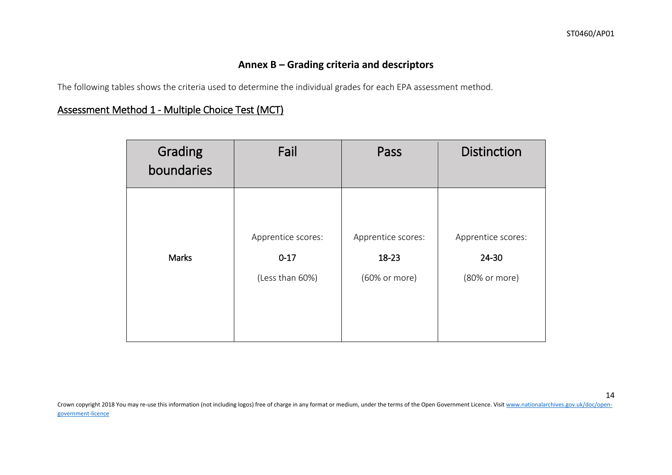## **Annex B – Grading criteria and descriptors**

The following tables shows the criteria used to determine the individual grades for each EPA assessment method.

## Assessment Method 1 - Multiple Choice Test (MCT)

| Grading<br>boundaries | Fail               | Pass               | <b>Distinction</b> |
|-----------------------|--------------------|--------------------|--------------------|
| <b>Marks</b>          | Apprentice scores: | Apprentice scores: | Apprentice scores: |
|                       | $0 - 17$           | 18-23              | 24-30              |
|                       | (Less than 60%)    | (60% or more)      | (80% or more)      |

Crown copyright 2018 You may re-use this information (not including logos) free of charge in any format or medium, under the terms of the Open Government Licence. Visi[t www.nationalarchives.gov.uk/doc/open](http://www.nationalarchives.gov.uk/doc/open-government-licence)[government-licence](http://www.nationalarchives.gov.uk/doc/open-government-licence)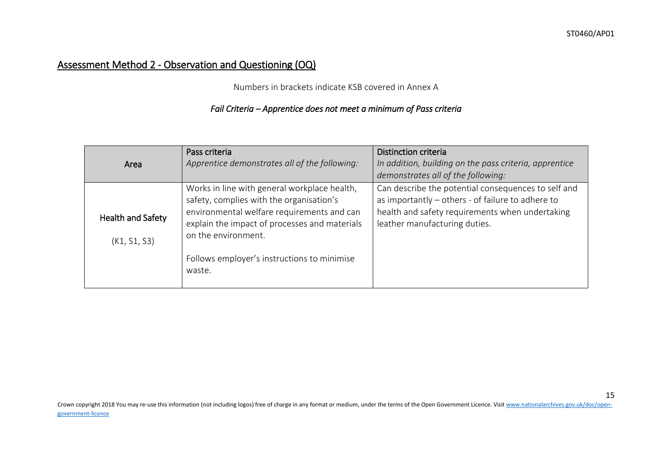## Assessment Method 2 - Observation and Questioning (OQ)

Numbers in brackets indicate KSB covered in Annex A

## *Fail Criteria – Apprentice does not meet a minimum of Pass criteria*

| Area                              | Pass criteria<br>Apprentice demonstrates all of the following:                                                                                                                                                                                                          | <b>Distinction criteria</b><br>In addition, building on the pass criteria, apprentice<br>demonstrates all of the following:                                                                  |
|-----------------------------------|-------------------------------------------------------------------------------------------------------------------------------------------------------------------------------------------------------------------------------------------------------------------------|----------------------------------------------------------------------------------------------------------------------------------------------------------------------------------------------|
| Health and Safety<br>(K1, S1, S3) | Works in line with general workplace health,<br>safety, complies with the organisation's<br>environmental welfare requirements and can<br>explain the impact of processes and materials<br>on the environment.<br>Follows employer's instructions to minimise<br>waste. | Can describe the potential consequences to self and<br>as importantly - others - of failure to adhere to<br>health and safety requirements when undertaking<br>leather manufacturing duties. |

Crown copyright 2018 You may re-use this information (not including logos) free of charge in any format or medium, under the terms of the Open Government Licence. Visi[t www.nationalarchives.gov.uk/doc/open](http://www.nationalarchives.gov.uk/doc/open-government-licence)[government-licence](http://www.nationalarchives.gov.uk/doc/open-government-licence)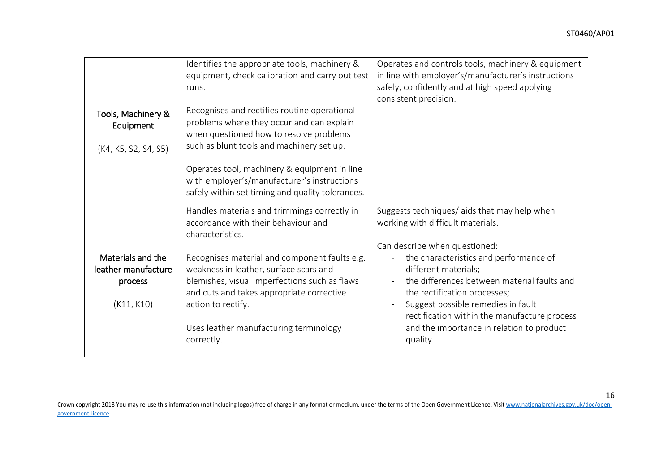| Tools, Machinery &<br>Equipment<br>(K4, K5, S2, S4, S5)           | Identifies the appropriate tools, machinery &<br>equipment, check calibration and carry out test<br>runs.<br>Recognises and rectifies routine operational<br>problems where they occur and can explain<br>when questioned how to resolve problems<br>such as blunt tools and machinery set up.<br>Operates tool, machinery & equipment in line<br>with employer's/manufacturer's instructions<br>safely within set timing and quality tolerances. | Operates and controls tools, machinery & equipment<br>in line with employer's/manufacturer's instructions<br>safely, confidently and at high speed applying<br>consistent precision.                                                                                                                                                                                                                               |
|-------------------------------------------------------------------|---------------------------------------------------------------------------------------------------------------------------------------------------------------------------------------------------------------------------------------------------------------------------------------------------------------------------------------------------------------------------------------------------------------------------------------------------|--------------------------------------------------------------------------------------------------------------------------------------------------------------------------------------------------------------------------------------------------------------------------------------------------------------------------------------------------------------------------------------------------------------------|
| Materials and the<br>leather manufacture<br>process<br>(K11, K10) | Handles materials and trimmings correctly in<br>accordance with their behaviour and<br>characteristics.<br>Recognises material and component faults e.g.<br>weakness in leather, surface scars and<br>blemishes, visual imperfections such as flaws<br>and cuts and takes appropriate corrective<br>action to rectify.<br>Uses leather manufacturing terminology<br>correctly.                                                                    | Suggests techniques/ aids that may help when<br>working with difficult materials.<br>Can describe when questioned:<br>the characteristics and performance of<br>different materials;<br>the differences between material faults and<br>the rectification processes;<br>Suggest possible remedies in fault<br>rectification within the manufacture process<br>and the importance in relation to product<br>quality. |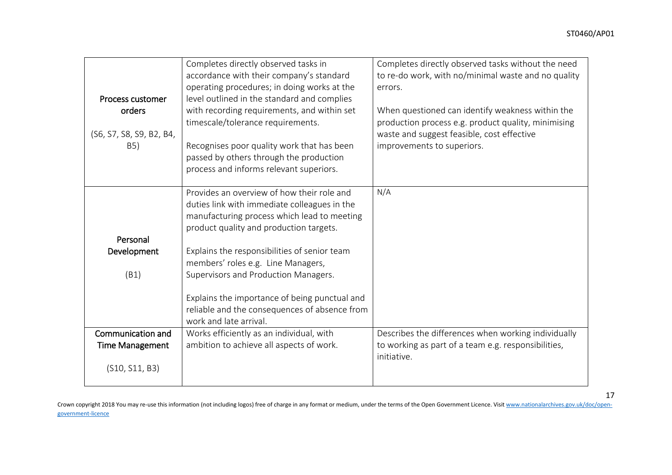|                          | Completes directly observed tasks in          | Completes directly observed tasks without the need  |
|--------------------------|-----------------------------------------------|-----------------------------------------------------|
|                          | accordance with their company's standard      | to re-do work, with no/minimal waste and no quality |
|                          | operating procedures; in doing works at the   | errors.                                             |
| Process customer         | level outlined in the standard and complies   |                                                     |
| orders                   | with recording requirements, and within set   | When questioned can identify weakness within the    |
|                          | timescale/tolerance requirements.             | production process e.g. product quality, minimising |
| (S6, S7, S8, S9, B2, B4, |                                               | waste and suggest feasible, cost effective          |
| B <sub>5</sub> )         | Recognises poor quality work that has been    | improvements to superiors.                          |
|                          | passed by others through the production       |                                                     |
|                          | process and informs relevant superiors.       |                                                     |
|                          |                                               |                                                     |
|                          | Provides an overview of how their role and    | N/A                                                 |
|                          | duties link with immediate colleagues in the  |                                                     |
|                          | manufacturing process which lead to meeting   |                                                     |
|                          | product quality and production targets.       |                                                     |
| Personal                 |                                               |                                                     |
| Development              | Explains the responsibilities of senior team  |                                                     |
|                          | members' roles e.g. Line Managers,            |                                                     |
| (B1)                     | Supervisors and Production Managers.          |                                                     |
|                          |                                               |                                                     |
|                          | Explains the importance of being punctual and |                                                     |
|                          | reliable and the consequences of absence from |                                                     |
|                          | work and late arrival.                        |                                                     |
| Communication and        | Works efficiently as an individual, with      | Describes the differences when working individually |
| <b>Time Management</b>   | ambition to achieve all aspects of work.      | to working as part of a team e.g. responsibilities, |
|                          |                                               | initiative.                                         |
| (S10, S11, B3)           |                                               |                                                     |
|                          |                                               |                                                     |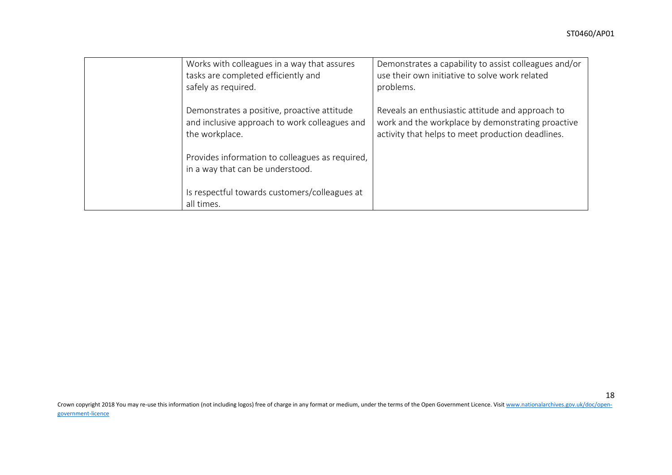| Works with colleagues in a way that assures<br>tasks are completed efficiently and<br>safely as required.      | Demonstrates a capability to assist colleagues and/or<br>use their own initiative to solve work related<br>problems.                                       |
|----------------------------------------------------------------------------------------------------------------|------------------------------------------------------------------------------------------------------------------------------------------------------------|
| Demonstrates a positive, proactive attitude<br>and inclusive approach to work colleagues and<br>the workplace. | Reveals an enthusiastic attitude and approach to<br>work and the workplace by demonstrating proactive<br>activity that helps to meet production deadlines. |
| Provides information to colleagues as required,<br>in a way that can be understood.                            |                                                                                                                                                            |
| Is respectful towards customers/colleagues at<br>all times.                                                    |                                                                                                                                                            |